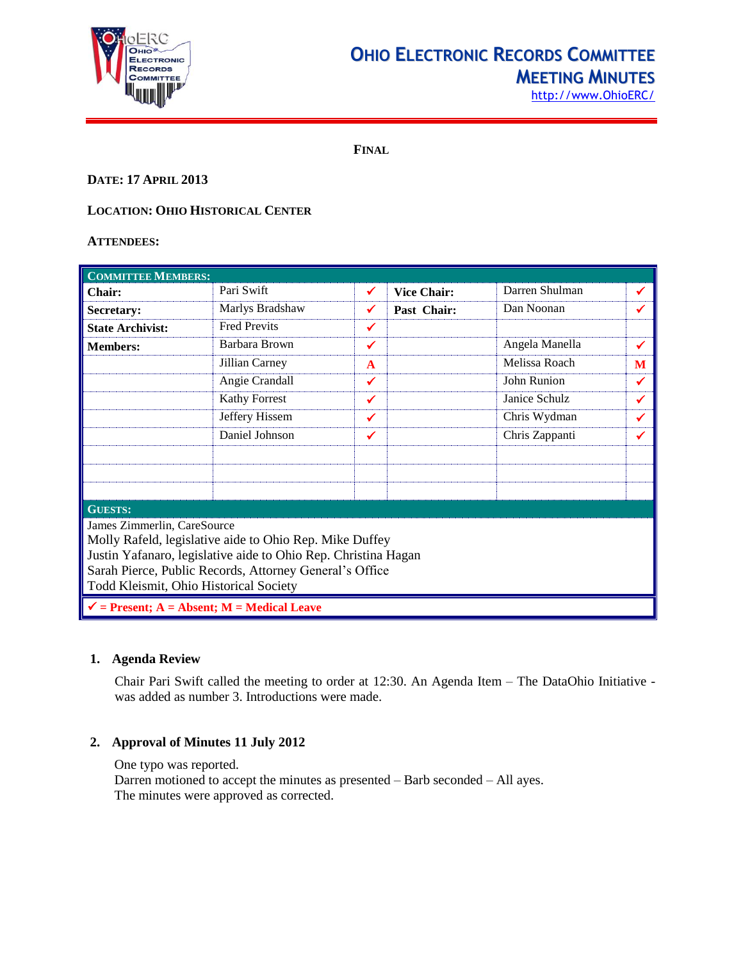

# **OHIO ELECTRONIC RECORDS COMMITTEE MEETING MINUTES**

http://www.OhioERC/

**FINAL**

## **DATE: 17 APRIL 2013**

## **LOCATION: OHIO HISTORICAL CENTER**

### **ATTENDEES:**

| <b>COMMITTEE MEMBERS:</b>                                                                                                                                                                                                                                     |                     |              |                    |                |   |  |
|---------------------------------------------------------------------------------------------------------------------------------------------------------------------------------------------------------------------------------------------------------------|---------------------|--------------|--------------------|----------------|---|--|
| <b>Chair:</b>                                                                                                                                                                                                                                                 | Pari Swift          | ✓            | <b>Vice Chair:</b> | Darren Shulman | ✔ |  |
| Secretary:                                                                                                                                                                                                                                                    | Marlys Bradshaw     | ✔            | Past Chair:        | Dan Noonan     | ✔ |  |
| <b>State Archivist:</b>                                                                                                                                                                                                                                       | <b>Fred Previts</b> | ✔            |                    |                |   |  |
| <b>Members:</b>                                                                                                                                                                                                                                               | Barbara Brown       | $\checkmark$ |                    | Angela Manella | ✔ |  |
|                                                                                                                                                                                                                                                               | Jillian Carney      | $\mathbf{A}$ |                    | Melissa Roach  | M |  |
|                                                                                                                                                                                                                                                               | Angie Crandall      | ✔            |                    | John Runion    | ✓ |  |
|                                                                                                                                                                                                                                                               | Kathy Forrest       | ✔            |                    | Janice Schulz  | ✔ |  |
|                                                                                                                                                                                                                                                               | Jeffery Hissem      | ✔            |                    | Chris Wydman   | ✔ |  |
|                                                                                                                                                                                                                                                               | Daniel Johnson      | ✔            |                    | Chris Zappanti | ✔ |  |
|                                                                                                                                                                                                                                                               |                     |              |                    |                |   |  |
|                                                                                                                                                                                                                                                               |                     |              |                    |                |   |  |
| <b>GUESTS:</b>                                                                                                                                                                                                                                                |                     |              |                    |                |   |  |
| James Zimmerlin, CareSource<br>Molly Rafeld, legislative aide to Ohio Rep. Mike Duffey<br>Justin Yafanaro, legislative aide to Ohio Rep. Christina Hagan<br>Sarah Pierce, Public Records, Attorney General's Office<br>Todd Kleismit, Ohio Historical Society |                     |              |                    |                |   |  |
| $\checkmark$ = Present; A = Absent; M = Medical Leave                                                                                                                                                                                                         |                     |              |                    |                |   |  |

## **1. Agenda Review**

Chair Pari Swift called the meeting to order at 12:30. An Agenda Item – The DataOhio Initiative was added as number 3. Introductions were made.

## **2. Approval of Minutes 11 July 2012**

One typo was reported.

Darren motioned to accept the minutes as presented – Barb seconded – All ayes. The minutes were approved as corrected.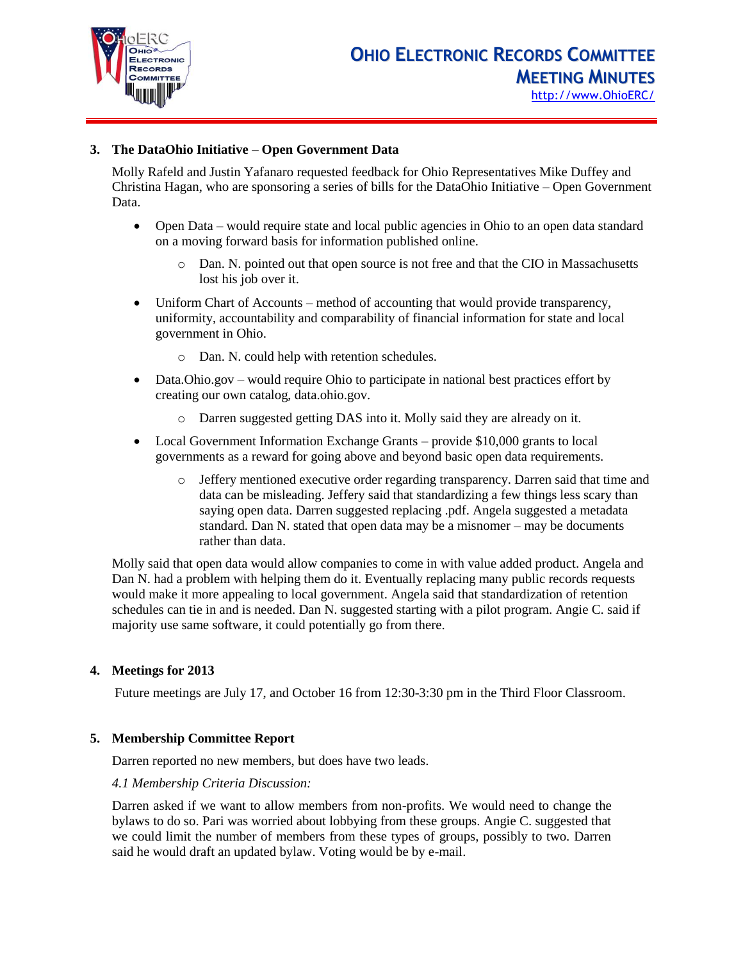

## **3. The DataOhio Initiative – Open Government Data**

Molly Rafeld and Justin Yafanaro requested feedback for Ohio Representatives Mike Duffey and Christina Hagan, who are sponsoring a series of bills for the DataOhio Initiative – Open Government Data.

- Open Data would require state and local public agencies in Ohio to an open data standard on a moving forward basis for information published online.
	- o Dan. N. pointed out that open source is not free and that the CIO in Massachusetts lost his job over it.
- Uniform Chart of Accounts method of accounting that would provide transparency, uniformity, accountability and comparability of financial information for state and local government in Ohio.
	- o Dan. N. could help with retention schedules.
- Data.Ohio.gov would require Ohio to participate in national best practices effort by creating our own catalog, data.ohio.gov.
	- o Darren suggested getting DAS into it. Molly said they are already on it.
- Local Government Information Exchange Grants provide \$10,000 grants to local governments as a reward for going above and beyond basic open data requirements.
	- o Jeffery mentioned executive order regarding transparency. Darren said that time and data can be misleading. Jeffery said that standardizing a few things less scary than saying open data. Darren suggested replacing .pdf. Angela suggested a metadata standard. Dan N. stated that open data may be a misnomer – may be documents rather than data.

Molly said that open data would allow companies to come in with value added product. Angela and Dan N. had a problem with helping them do it. Eventually replacing many public records requests would make it more appealing to local government. Angela said that standardization of retention schedules can tie in and is needed. Dan N. suggested starting with a pilot program. Angie C. said if majority use same software, it could potentially go from there.

## **4. Meetings for 2013**

Future meetings are July 17, and October 16 from 12:30-3:30 pm in the Third Floor Classroom.

## **5. Membership Committee Report**

Darren reported no new members, but does have two leads.

#### *4.1 Membership Criteria Discussion:*

Darren asked if we want to allow members from non-profits. We would need to change the bylaws to do so. Pari was worried about lobbying from these groups. Angie C. suggested that we could limit the number of members from these types of groups, possibly to two. Darren said he would draft an updated bylaw. Voting would be by e-mail.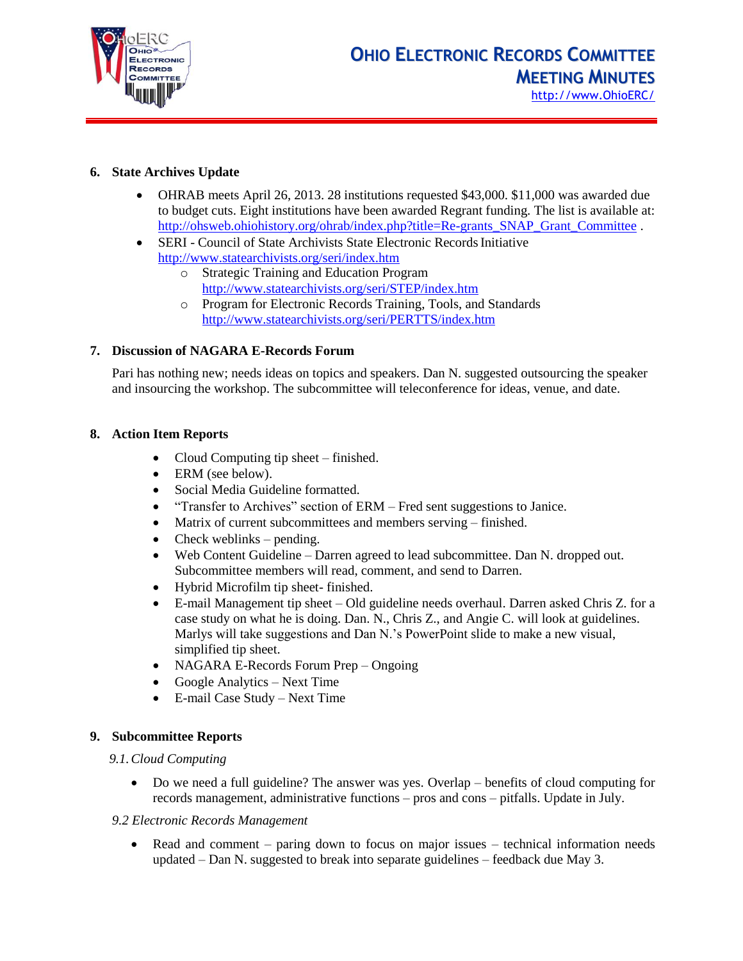

## **6. State Archives Update**

- OHRAB meets April 26, 2013. 28 institutions requested \$43,000. \$11,000 was awarded due to budget cuts. Eight institutions have been awarded Regrant funding. The list is available at: [http://ohsweb.ohiohistory.org/ohrab/index.php?title=Re-grants\\_SNAP\\_Grant\\_Committee](http://ohsweb.ohiohistory.org/ohrab/index.php?title=Re-grants_SNAP_Grant_Committee) .
- SERI Council of State Archivists State Electronic Records Initiative <http://www.statearchivists.org/seri/index.htm>
	- o Strategic Training and Education Program <http://www.statearchivists.org/seri/STEP/index.htm>
	- o Program for Electronic Records Training, Tools, and Standards <http://www.statearchivists.org/seri/PERTTS/index.htm>

## **7. Discussion of NAGARA E-Records Forum**

Pari has nothing new; needs ideas on topics and speakers. Dan N. suggested outsourcing the speaker and insourcing the workshop. The subcommittee will teleconference for ideas, venue, and date.

## **8. Action Item Reports**

- Cloud Computing tip sheet finished.
- ERM (see below).
- Social Media Guideline formatted.
- "Transfer to Archives" section of ERM Fred sent suggestions to Janice.
- Matrix of current subcommittees and members serving finished.
- $\bullet$  Check weblinks pending.
- Web Content Guideline Darren agreed to lead subcommittee. Dan N. dropped out. Subcommittee members will read, comment, and send to Darren.
- Hybrid Microfilm tip sheet- finished.
- E-mail Management tip sheet Old guideline needs overhaul. Darren asked Chris Z. for a case study on what he is doing. Dan. N., Chris Z., and Angie C. will look at guidelines. Marlys will take suggestions and Dan N.'s PowerPoint slide to make a new visual, simplified tip sheet.
- NAGARA E-Records Forum Prep Ongoing
- Google Analytics Next Time
- E-mail Case Study Next Time

## **9. Subcommittee Reports**

## *9.1.Cloud Computing*

 Do we need a full guideline? The answer was yes. Overlap – benefits of cloud computing for records management, administrative functions – pros and cons – pitfalls. Update in July.

#### *9.2 Electronic Records Management*

• Read and comment – paring down to focus on major issues – technical information needs updated – Dan N. suggested to break into separate guidelines – feedback due May 3.